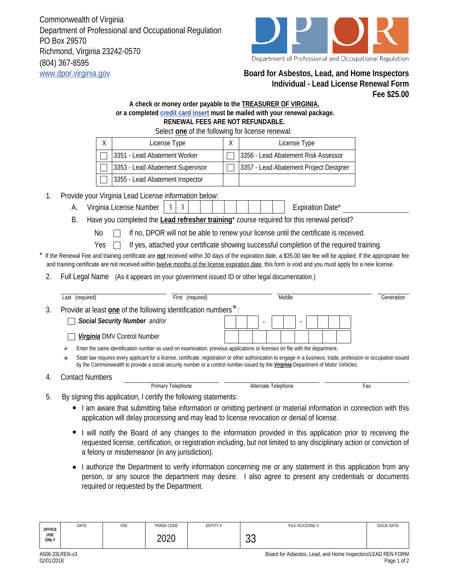Commonwealth of Virginia Department of Professional and Occupational Regulation PO Box 29570 Richmond, Virginia 23242-0570 (804) 367-8595 www.dpor.virginia.gov **Board for Asbestos, Lead, and Home Inspectors**



## **Individual - Lead License Renewal Form Fee \$25.00**

## **A check or money order payable to the TREASURER OF VIRGINIA,**  *or* **a completed credit card insert must be mailed with your renewal package. RENEWAL FEES ARE NOT REFUNDABLE.**

|                                                                                                                                                                                                                                                                                                                          |                                                                                                                                                                                                                                                                                                                  | Select one of the following for license renewal:                                                                                                                                                                 |  |                                        |            |  |  |  |  |  |  |  |
|--------------------------------------------------------------------------------------------------------------------------------------------------------------------------------------------------------------------------------------------------------------------------------------------------------------------------|------------------------------------------------------------------------------------------------------------------------------------------------------------------------------------------------------------------------------------------------------------------------------------------------------------------|------------------------------------------------------------------------------------------------------------------------------------------------------------------------------------------------------------------|--|----------------------------------------|------------|--|--|--|--|--|--|--|
|                                                                                                                                                                                                                                                                                                                          | License Type<br>X                                                                                                                                                                                                                                                                                                |                                                                                                                                                                                                                  |  | License Type                           |            |  |  |  |  |  |  |  |
|                                                                                                                                                                                                                                                                                                                          | 3351 - Lead Abatement Worker                                                                                                                                                                                                                                                                                     |                                                                                                                                                                                                                  |  | 3356 - Lead Abatement Risk Assessor    |            |  |  |  |  |  |  |  |
|                                                                                                                                                                                                                                                                                                                          | 3353 - Lead Abatement Supervisor                                                                                                                                                                                                                                                                                 |                                                                                                                                                                                                                  |  | 3357 - Lead Abatement Project Designer |            |  |  |  |  |  |  |  |
|                                                                                                                                                                                                                                                                                                                          |                                                                                                                                                                                                                                                                                                                  | 3355 - Lead Abatement Inspector                                                                                                                                                                                  |  |                                        |            |  |  |  |  |  |  |  |
| 1.                                                                                                                                                                                                                                                                                                                       | Provide your Virginia Lead License information below:                                                                                                                                                                                                                                                            |                                                                                                                                                                                                                  |  |                                        |            |  |  |  |  |  |  |  |
|                                                                                                                                                                                                                                                                                                                          | Virginia License Number<br>А.                                                                                                                                                                                                                                                                                    |                                                                                                                                                                                                                  |  |                                        |            |  |  |  |  |  |  |  |
|                                                                                                                                                                                                                                                                                                                          | Have you completed the Lead refresher training <sup>*</sup> course required for this renewal period?<br>Β.                                                                                                                                                                                                       |                                                                                                                                                                                                                  |  |                                        |            |  |  |  |  |  |  |  |
|                                                                                                                                                                                                                                                                                                                          | If no, DPOR will not be able to renew your license until the certificate is received.<br>No                                                                                                                                                                                                                      |                                                                                                                                                                                                                  |  |                                        |            |  |  |  |  |  |  |  |
|                                                                                                                                                                                                                                                                                                                          | If yes, attached your certificate showing successful completion of the required training.<br>Yes                                                                                                                                                                                                                 |                                                                                                                                                                                                                  |  |                                        |            |  |  |  |  |  |  |  |
| If the Renewal Fee and training certificate are not received within 30 days of the expiration date, a \$35.00 late fee will be applied. If the appropriate fee<br>and training certificate are not received within twelve months of the license expiration date, this form is void and you must apply for a new license. |                                                                                                                                                                                                                                                                                                                  |                                                                                                                                                                                                                  |  |                                        |            |  |  |  |  |  |  |  |
| 2.                                                                                                                                                                                                                                                                                                                       | <b>Full Legal Name</b><br>(As it appears on your government issued ID or other legal documentation.)                                                                                                                                                                                                             |                                                                                                                                                                                                                  |  |                                        |            |  |  |  |  |  |  |  |
|                                                                                                                                                                                                                                                                                                                          | Last (required)                                                                                                                                                                                                                                                                                                  | First (required)                                                                                                                                                                                                 |  | Middle                                 | Generation |  |  |  |  |  |  |  |
| 3.                                                                                                                                                                                                                                                                                                                       | Provide at least one of the following identification numbers <sup>*</sup> :                                                                                                                                                                                                                                      |                                                                                                                                                                                                                  |  |                                        |            |  |  |  |  |  |  |  |
|                                                                                                                                                                                                                                                                                                                          | Social Security Number and/or                                                                                                                                                                                                                                                                                    |                                                                                                                                                                                                                  |  |                                        |            |  |  |  |  |  |  |  |
|                                                                                                                                                                                                                                                                                                                          | Virginia DMV Control Number                                                                                                                                                                                                                                                                                      |                                                                                                                                                                                                                  |  |                                        |            |  |  |  |  |  |  |  |
|                                                                                                                                                                                                                                                                                                                          | Enter the same identification number as used on examination, previous applications or licenses on file with the department.<br>➤                                                                                                                                                                                 |                                                                                                                                                                                                                  |  |                                        |            |  |  |  |  |  |  |  |
|                                                                                                                                                                                                                                                                                                                          | State law requires every applicant for a license, certificate, registration or other authorization to engage in a business, trade, profession or occupation issued<br>$\ast$<br>by the Commonwealth to provide a social security number or a control number issued by the Virginia Department of Motor Vehicles. |                                                                                                                                                                                                                  |  |                                        |            |  |  |  |  |  |  |  |
| 4.                                                                                                                                                                                                                                                                                                                       | <b>Contact Numbers</b>                                                                                                                                                                                                                                                                                           |                                                                                                                                                                                                                  |  |                                        |            |  |  |  |  |  |  |  |
|                                                                                                                                                                                                                                                                                                                          |                                                                                                                                                                                                                                                                                                                  | <b>Primary Telephone</b>                                                                                                                                                                                         |  | Alternate Telephone                    | Fax        |  |  |  |  |  |  |  |
| 5.                                                                                                                                                                                                                                                                                                                       |                                                                                                                                                                                                                                                                                                                  | By signing this application, I certify the following statements:                                                                                                                                                 |  |                                        |            |  |  |  |  |  |  |  |
|                                                                                                                                                                                                                                                                                                                          |                                                                                                                                                                                                                                                                                                                  | I am aware that submitting false information or omitting pertinent or material information in connection with this<br>application will delay processing and may lead to license revocation or denial of license. |  |                                        |            |  |  |  |  |  |  |  |

- I will notify the Board of any changes to the information provided in this application prior to receiving the requested license, certification, or registration including, but not limited to any disciplinary action or conviction of a felony or misdemeanor (in any jurisdiction).
- I authorize the Department to verify information concerning me or any statement in this application from any person, or any source the department may desire. I also agree to present any credentials or documents required or requested by the Department.

| <b>OFFICE</b> | DATE | FEE | TRANS CODE | ENTITY # | FILE #/LICENSE # | <b>ISSUE DATE</b> |
|---------------|------|-----|------------|----------|------------------|-------------------|
| USE<br>ONLY   |      |     | 2020       |          | $\sim$<br>JJ     |                   |